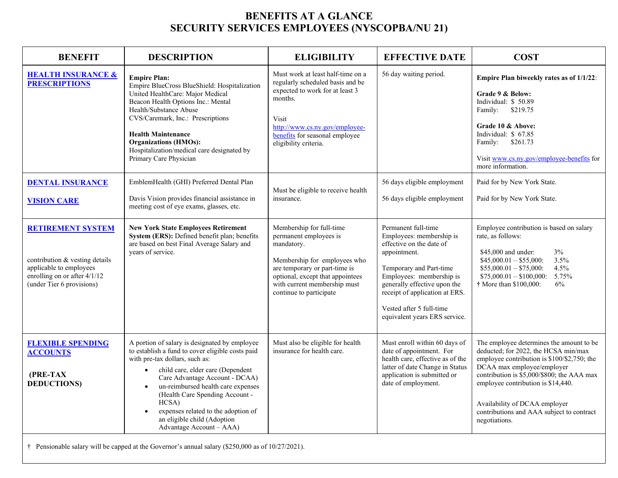## **BENEFITS AT A GLANCE SECURITY SERVICES EMPLOYEES (NYSCOPBA/NU 21)**

| <b>BENEFIT</b>                                                                                                                                       | <b>DESCRIPTION</b>                                                                                                                                                                                                                                                                                                                                                                                          | <b>ELIGIBILITY</b>                                                                                                                                                                                                               | <b>EFFECTIVE DATE</b>                                                                                                                                                                                                                                                             | <b>COST</b>                                                                                                                                                                                                                                                                                                                                      |
|------------------------------------------------------------------------------------------------------------------------------------------------------|-------------------------------------------------------------------------------------------------------------------------------------------------------------------------------------------------------------------------------------------------------------------------------------------------------------------------------------------------------------------------------------------------------------|----------------------------------------------------------------------------------------------------------------------------------------------------------------------------------------------------------------------------------|-----------------------------------------------------------------------------------------------------------------------------------------------------------------------------------------------------------------------------------------------------------------------------------|--------------------------------------------------------------------------------------------------------------------------------------------------------------------------------------------------------------------------------------------------------------------------------------------------------------------------------------------------|
| <b>HEALTH INSURANCE &amp;</b><br><b>PRESCRIPTIONS</b>                                                                                                | <b>Empire Plan:</b><br>Empire BlueCross BlueShield: Hospitalization<br>United HealthCare: Major Medical<br>Beacon Health Options Inc.: Mental<br>Health/Substance Abuse<br>CVS/Caremark, Inc.: Prescriptions<br><b>Health Maintenance</b><br><b>Organizations (HMOs):</b><br>Hospitalization/medical care designated by<br>Primary Care Physician                                                           | Must work at least half-time on a<br>regularly scheduled basis and be<br>expected to work for at least 3<br>months.<br><b>Visit</b><br>http://www.cs.ny.gov/employee-<br>benefits for seasonal employee<br>eligibility criteria. | 56 day waiting period.                                                                                                                                                                                                                                                            | Empire Plan biweekly rates as of 1/1/22:<br>Grade 9 & Below:<br>Individual: \$50.89<br>Family:<br>\$219.75<br>Grade 10 & Above:<br>Individual: \$67.85<br>Family:<br>\$261.73<br>Visit www.cs.ny.gov/employee-benefits for<br>more information.                                                                                                  |
| <b>DENTAL INSURANCE</b><br><b>VISION CARE</b>                                                                                                        | EmblemHealth (GHI) Preferred Dental Plan<br>Davis Vision provides financial assistance in<br>meeting cost of eye exams, glasses, etc.                                                                                                                                                                                                                                                                       | Must be eligible to receive health<br>insurance.                                                                                                                                                                                 | 56 days eligible employment<br>56 days eligible employment                                                                                                                                                                                                                        | Paid for by New York State.<br>Paid for by New York State.                                                                                                                                                                                                                                                                                       |
| <b>RETIREMENT SYSTEM</b><br>contribution & vesting details<br>applicable to employees<br>enrolling on or after $4/1/12$<br>(under Tier 6 provisions) | <b>New York State Employees Retirement</b><br>System (ERS): Defined benefit plan; benefits<br>are based on best Final Average Salary and<br>years of service.                                                                                                                                                                                                                                               | Membership for full-time<br>permanent employees is<br>mandatory.<br>Membership for employees who<br>are temporary or part-time is<br>optional, except that appointees<br>with current membership must<br>continue to participate | Permanent full-time<br>Employees: membership is<br>effective on the date of<br>appointment.<br>Temporary and Part-time<br>Employees: membership is<br>generally effective upon the<br>receipt of application at ERS.<br>Vested after 5 full-time<br>equivalent years ERS service. | Employee contribution is based on salary<br>rate, as follows:<br>3%<br>\$45,000 and under:<br>3.5%<br>$$45,000.01 - $55,000$ :<br>$$55,000.01 - $75,000$ :<br>4.5%<br>$$75,000.01 - $100,000: 5.75\%$<br>† More than \$100,000:<br>6%                                                                                                            |
| <b>FLEXIBLE SPENDING</b><br><b>ACCOUNTS</b><br>(PRE-TAX<br><b>DEDUCTIONS</b> )                                                                       | A portion of salary is designated by employee<br>to establish a fund to cover eligible costs paid<br>with pre-tax dollars, such as:<br>child care, elder care (Dependent<br>$\bullet$<br>Care Advantage Account - DCAA)<br>un-reimbursed health care expenses<br>(Health Care Spending Account -<br>HCSA)<br>expenses related to the adoption of<br>an eligible child (Adoption<br>Advantage Account - AAA) | Must also be eligible for health<br>insurance for health care.                                                                                                                                                                   | Must enroll within 60 days of<br>date of appointment. For<br>health care, effective as of the<br>latter of date Change in Status<br>application is submitted or<br>date of employment.                                                                                            | The employee determines the amount to be<br>deducted; for 2022, the HCSA min/max<br>employee contribution is \$100/\$2,750; the<br>DCAA max employee/employer<br>contribution is \$5,000/\$800; the AAA max<br>employee contribution is \$14,440.<br>Availability of DCAA employer<br>contributions and AAA subject to contract<br>negotiations. |

† Pensionable salary will be capped at the Governor's annual salary (\$250,000 as of 10/27/2021).